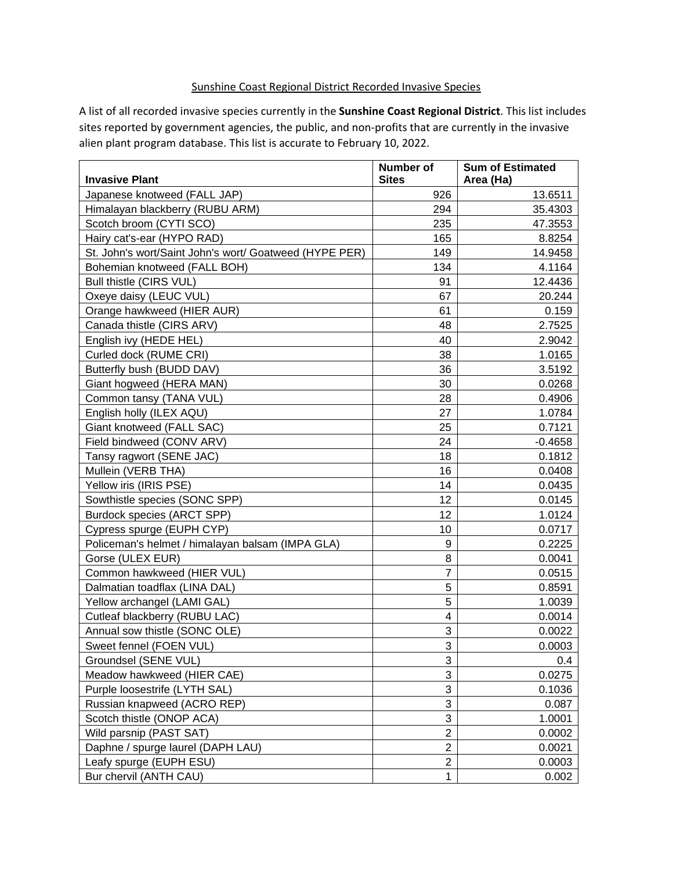## Sunshine Coast Regional District Recorded Invasive Species

A list of all recorded invasive species currently in the **Sunshine Coast Regional District**. This list includes sites reported by government agencies, the public, and non-profits that are currently in the invasive alien plant program database. This list is accurate to February 10, 2022.

| <b>Invasive Plant</b>                                  | <b>Number of</b><br><b>Sites</b> | <b>Sum of Estimated</b><br>Area (Ha) |
|--------------------------------------------------------|----------------------------------|--------------------------------------|
| Japanese knotweed (FALL JAP)                           | 926                              | 13.6511                              |
| Himalayan blackberry (RUBU ARM)                        | 294                              | 35.4303                              |
| Scotch broom (CYTI SCO)                                | 235                              | 47.3553                              |
| Hairy cat's-ear (HYPO RAD)                             | 165                              | 8.8254                               |
| St. John's wort/Saint John's wort/ Goatweed (HYPE PER) | 149                              | 14.9458                              |
| Bohemian knotweed (FALL BOH)                           | 134                              | 4.1164                               |
| Bull thistle (CIRS VUL)                                | 91                               | 12.4436                              |
| Oxeye daisy (LEUC VUL)                                 | 67                               | 20.244                               |
| Orange hawkweed (HIER AUR)                             | 61                               | 0.159                                |
| Canada thistle (CIRS ARV)                              | 48                               | 2.7525                               |
| English ivy (HEDE HEL)                                 | 40                               | 2.9042                               |
| Curled dock (RUME CRI)                                 | 38                               | 1.0165                               |
| Butterfly bush (BUDD DAV)                              | 36                               | 3.5192                               |
| Giant hogweed (HERA MAN)                               | 30                               | 0.0268                               |
| Common tansy (TANA VUL)                                | 28                               | 0.4906                               |
| English holly (ILEX AQU)                               | 27                               | 1.0784                               |
| Giant knotweed (FALL SAC)                              | 25                               | 0.7121                               |
| Field bindweed (CONV ARV)                              | 24                               | $-0.4658$                            |
| Tansy ragwort (SENE JAC)                               | 18                               | 0.1812                               |
| Mullein (VERB THA)                                     | 16                               | 0.0408                               |
| Yellow iris (IRIS PSE)                                 | 14                               | 0.0435                               |
| Sowthistle species (SONC SPP)                          | 12                               | 0.0145                               |
| Burdock species (ARCT SPP)                             | 12                               | 1.0124                               |
| Cypress spurge (EUPH CYP)                              | 10                               | 0.0717                               |
| Policeman's helmet / himalayan balsam (IMPA GLA)       | 9                                | 0.2225                               |
| Gorse (ULEX EUR)                                       | 8                                | 0.0041                               |
| Common hawkweed (HIER VUL)                             | $\overline{7}$                   | 0.0515                               |
| Dalmatian toadflax (LINA DAL)                          | 5                                | 0.8591                               |
| Yellow archangel (LAMI GAL)                            | 5                                | 1.0039                               |
| Cutleaf blackberry (RUBU LAC)                          | $\overline{\mathbf{4}}$          | 0.0014                               |
| Annual sow thistle (SONC OLE)                          | $\mathbf{3}$                     | 0.0022                               |
| Sweet fennel (FOEN VUL)                                | 3                                | 0.0003                               |
| Groundsel (SENE VUL)                                   | 3                                | 0.4                                  |
| Meadow hawkweed (HIER CAE)                             | 3                                | 0.0275                               |
| Purple loosestrife (LYTH SAL)                          | 3                                | 0.1036                               |
| Russian knapweed (ACRO REP)                            | $\mathbf{3}$                     | 0.087                                |
| Scotch thistle (ONOP ACA)                              | $\sqrt{3}$                       | 1.0001                               |
| Wild parsnip (PAST SAT)                                | $\overline{2}$                   | 0.0002                               |
| Daphne / spurge laurel (DAPH LAU)                      | $\overline{2}$                   | 0.0021                               |
| Leafy spurge (EUPH ESU)                                | $\overline{c}$                   | 0.0003                               |
| Bur chervil (ANTH CAU)                                 | 1                                | 0.002                                |